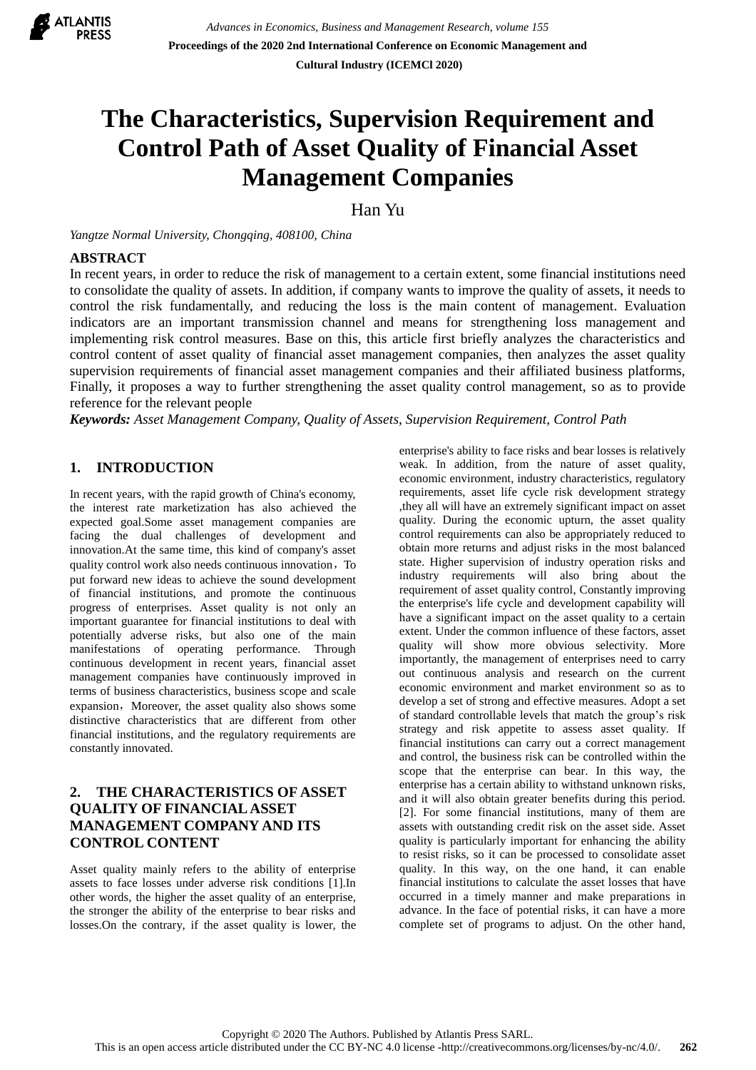

# **The Characteristics, Supervision Requirement and Control Path of Asset Quality of Financial Asset Management Companies**

Han Yu

*Yangtze Normal University, Chongqing, 408100, China*

#### **ABSTRACT**

In recent years, in order to reduce the risk of management to a certain extent, some financial institutions need to consolidate the quality of assets. In addition, if company wants to improve the quality of assets, it needs to control the risk fundamentally, and reducing the loss is the main content of management. Evaluation indicators are an important transmission channel and means for strengthening loss management and implementing risk control measures. Base on this, this article first briefly analyzes the characteristics and control content of asset quality of financial asset management companies, then analyzes the asset quality supervision requirements of financial asset management companies and their affiliated business platforms, Finally, it proposes a way to further strengthening the asset quality control management, so as to provide reference for the relevant people

*Keywords: Asset Management Company, Quality of Assets, Supervision Requirement, Control Path*

## **1. INTRODUCTION**

In recent years, with the rapid growth of China's economy, the interest rate marketization has also achieved the expected goal.Some asset management companies are facing the dual challenges of development and innovation.At the same time, this kind of company's asset quality control work also needs continuous innovation, To put forward new ideas to achieve the sound development of financial institutions, and promote the continuous progress of enterprises. Asset quality is not only an important guarantee for financial institutions to deal with potentially adverse risks, but also one of the main manifestations of operating performance. Through continuous development in recent years, financial asset management companies have continuously improved in terms of business characteristics, business scope and scale expansion, Moreover, the asset quality also shows some distinctive characteristics that are different from other financial institutions, and the regulatory requirements are constantly innovated.

#### **2. THE CHARACTERISTICS OF ASSET QUALITY OF FINANCIAL ASSET MANAGEMENT COMPANY AND ITS CONTROL CONTENT**

Asset quality mainly refers to the ability of enterprise assets to face losses under adverse risk conditions [1].In other words, the higher the asset quality of an enterprise, the stronger the ability of the enterprise to bear risks and losses.On the contrary, if the asset quality is lower, the enterprise's ability to face risks and bear losses is relatively weak. In addition, from the nature of asset quality, economic environment, industry characteristics, regulatory requirements, asset life cycle risk development strategy ,they all will have an extremely significant impact on asset quality. During the economic upturn, the asset quality control requirements can also be appropriately reduced to obtain more returns and adjust risks in the most balanced state. Higher supervision of industry operation risks and industry requirements will also bring about the requirement of asset quality control, Constantly improving the enterprise's life cycle and development capability will have a significant impact on the asset quality to a certain extent. Under the common influence of these factors, asset quality will show more obvious selectivity. More importantly, the management of enterprises need to carry out continuous analysis and research on the current economic environment and market environment so as to develop a set of strong and effective measures. Adopt a set of standard controllable levels that match the group's risk strategy and risk appetite to assess asset quality. If financial institutions can carry out a correct management and control, the business risk can be controlled within the scope that the enterprise can bear. In this way, the enterprise has a certain ability to withstand unknown risks, and it will also obtain greater benefits during this period. [2]. For some financial institutions, many of them are assets with outstanding credit risk on the asset side. Asset quality is particularly important for enhancing the ability to resist risks, so it can be processed to consolidate asset quality. In this way, on the one hand, it can enable financial institutions to calculate the asset losses that have occurred in a timely manner and make preparations in advance. In the face of potential risks, it can have a more complete set of programs to adjust. On the other hand,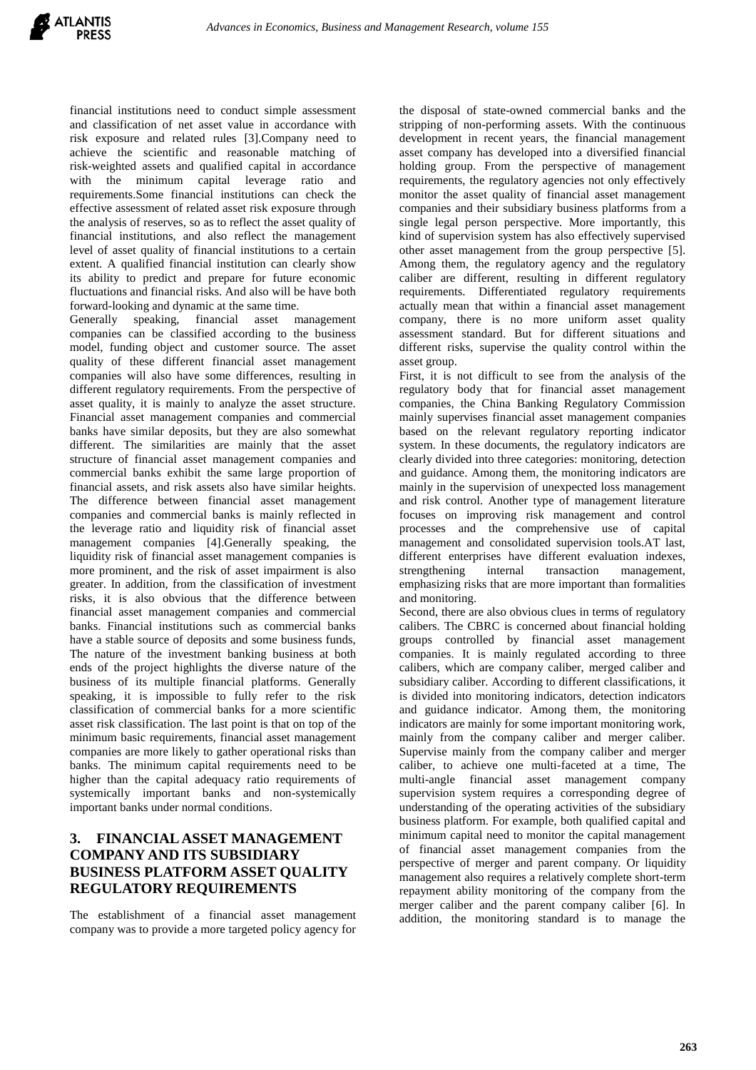financial institutions need to conduct simple assessment and classification of net asset value in accordance with risk exposure and related rules [3].Company need to achieve the scientific and reasonable matching of risk-weighted assets and qualified capital in accordance with the minimum capital leverage ratio and requirements.Some financial institutions can check the effective assessment of related asset risk exposure through the analysis of reserves, so as to reflect the asset quality of financial institutions, and also reflect the management level of asset quality of financial institutions to a certain extent. A qualified financial institution can clearly show its ability to predict and prepare for future economic fluctuations and financial risks. And also will be have both forward-looking and dynamic at the same time.

Generally speaking, financial asset management companies can be classified according to the business model, funding object and customer source. The asset quality of these different financial asset management companies will also have some differences, resulting in different regulatory requirements. From the perspective of asset quality, it is mainly to analyze the asset structure. Financial asset management companies and commercial banks have similar deposits, but they are also somewhat different. The similarities are mainly that the asset structure of financial asset management companies and commercial banks exhibit the same large proportion of financial assets, and risk assets also have similar heights. The difference between financial asset management companies and commercial banks is mainly reflected in the leverage ratio and liquidity risk of financial asset management companies [4].Generally speaking, the liquidity risk of financial asset management companies is more prominent, and the risk of asset impairment is also greater. In addition, from the classification of investment risks, it is also obvious that the difference between financial asset management companies and commercial banks. Financial institutions such as commercial banks have a stable source of deposits and some business funds, The nature of the investment banking business at both ends of the project highlights the diverse nature of the business of its multiple financial platforms. Generally speaking, it is impossible to fully refer to the risk classification of commercial banks for a more scientific asset risk classification. The last point is that on top of the minimum basic requirements, financial asset management companies are more likely to gather operational risks than banks. The minimum capital requirements need to be higher than the capital adequacy ratio requirements of systemically important banks and non-systemically important banks under normal conditions.

#### **3. FINANCIAL ASSET MANAGEMENT COMPANY AND ITS SUBSIDIARY BUSINESS PLATFORM ASSET QUALITY REGULATORY REQUIREMENTS**

The establishment of a financial asset management company was to provide a more targeted policy agency for

the disposal of state-owned commercial banks and the stripping of non-performing assets. With the continuous development in recent years, the financial management asset company has developed into a diversified financial holding group. From the perspective of management requirements, the regulatory agencies not only effectively monitor the asset quality of financial asset management companies and their subsidiary business platforms from a single legal person perspective. More importantly, this kind of supervision system has also effectively supervised other asset management from the group perspective [5]. Among them, the regulatory agency and the regulatory caliber are different, resulting in different regulatory requirements. Differentiated regulatory requirements actually mean that within a financial asset management company, there is no more uniform asset quality assessment standard. But for different situations and different risks, supervise the quality control within the asset group.

First, it is not difficult to see from the analysis of the regulatory body that for financial asset management companies, the China Banking Regulatory Commission mainly supervises financial asset management companies based on the relevant regulatory reporting indicator system. In these documents, the regulatory indicators are clearly divided into three categories: monitoring, detection and guidance. Among them, the monitoring indicators are mainly in the supervision of unexpected loss management and risk control. Another type of management literature focuses on improving risk management and control processes and the comprehensive use of capital management and consolidated supervision tools.AT last, different enterprises have different evaluation indexes, strengthening internal transaction management, emphasizing risks that are more important than formalities and monitoring.

Second, there are also obvious clues in terms of regulatory calibers. The CBRC is concerned about financial holding groups controlled by financial asset management companies. It is mainly regulated according to three calibers, which are company caliber, merged caliber and subsidiary caliber. According to different classifications, it is divided into monitoring indicators, detection indicators and guidance indicator. Among them, the monitoring indicators are mainly for some important monitoring work, mainly from the company caliber and merger caliber. Supervise mainly from the company caliber and merger caliber, to achieve one multi-faceted at a time, The multi-angle financial asset management company supervision system requires a corresponding degree of understanding of the operating activities of the subsidiary business platform. For example, both qualified capital and minimum capital need to monitor the capital management of financial asset management companies from the perspective of merger and parent company. Or liquidity management also requires a relatively complete short-term repayment ability monitoring of the company from the merger caliber and the parent company caliber [6]. In addition, the monitoring standard is to manage the